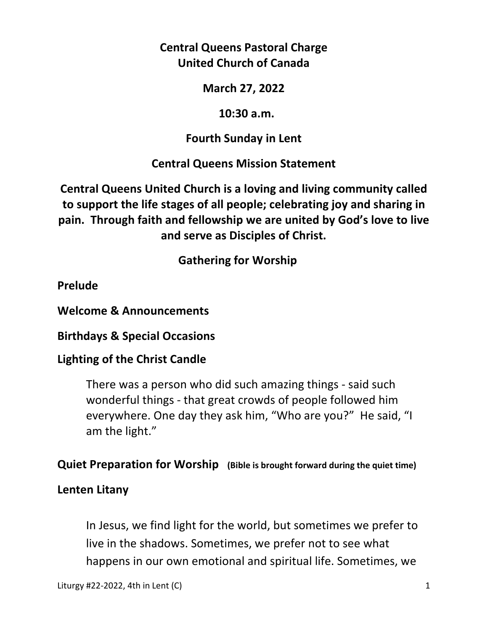**Central Queens Pastoral Charge United Church of Canada** 

**March 27, 2022** 

 **10:30 a.m.** 

**Fourth Sunday in Lent** 

**Central Queens Mission Statement** 

**Central Queens United Church is a loving and living community called to support the life stages of all people; celebrating joy and sharing in pain. Through faith and fellowship we are united by God's love to live and serve as Disciples of Christ.**

 **Gathering for Worship** 

**Prelude** 

**Welcome & Announcements** 

**Birthdays & Special Occasions** 

**Lighting of the Christ Candle** 

There was a person who did such amazing things - said such wonderful things - that great crowds of people followed him everywhere. One day they ask him, "Who are you?" He said, "I am the light."

**Quiet Preparation for Worship (Bible is brought forward during the quiet time)** 

## **Lenten Litany**

In Jesus, we find light for the world, but sometimes we prefer to live in the shadows. Sometimes, we prefer not to see what happens in our own emotional and spiritual life. Sometimes, we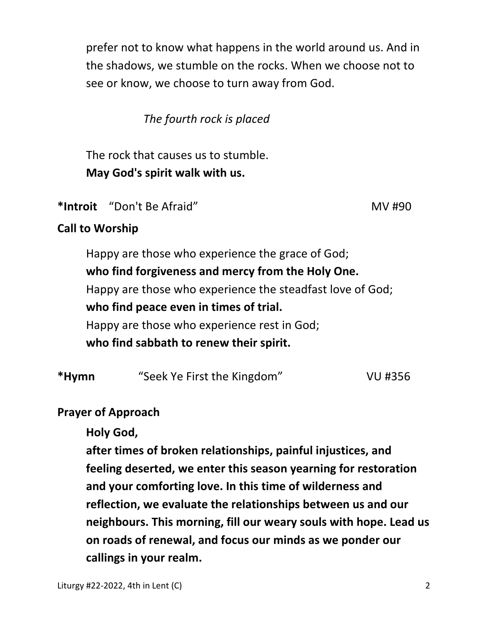prefer not to know what happens in the world around us. And in the shadows, we stumble on the rocks. When we choose not to see or know, we choose to turn away from God.

*The fourth rock is placed* 

 The rock that causes us to stumble.  **May God's spirit walk with us.** 

\*Introit "Don't Be Afraid" NV #90

## **Call to Worship**

 Happy are those who experience the grace of God; **who find forgiveness and mercy from the Holy One.**  Happy are those who experience the steadfast love of God; **who find peace even in times of trial.**  Happy are those who experience rest in God; **who find sabbath to renew their spirit.** 

| "Seek Ye First the Kingdom" | VU #356 |
|-----------------------------|---------|
|                             |         |

#### **Prayer of Approach**

 **Holy God,** 

 **after times of broken relationships, painful injustices, and feeling deserted, we enter this season yearning for restoration and your comforting love. In this time of wilderness and reflection, we evaluate the relationships between us and our neighbours. This morning, fill our weary souls with hope. Lead us on roads of renewal, and focus our minds as we ponder our callings in your realm.**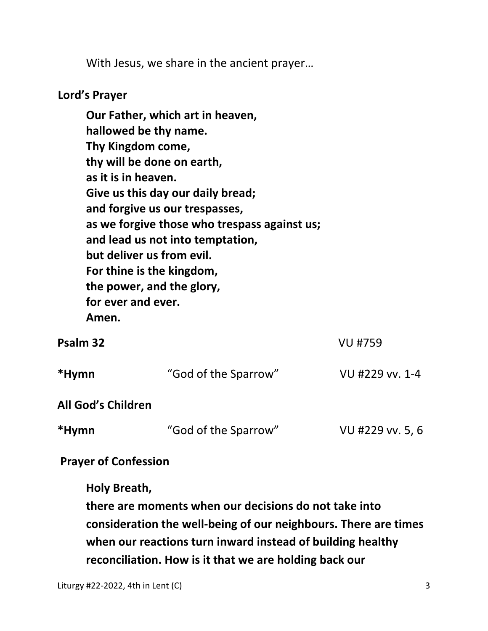With Jesus, we share in the ancient prayer…

#### **Lord's Prayer**

**Our Father, which art in heaven, hallowed be thy name. Thy Kingdom come, thy will be done on earth, as it is in heaven. Give us this day our daily bread; and forgive us our trespasses, as we forgive those who trespass against us; and lead us not into temptation, but deliver us from evil. For thine is the kingdom, the power, and the glory, for ever and ever. Amen. Psalm 32** VU #759 **\*Hymn** "God of the Sparrow" VU #229 vv. 1-4 **All God's Children** 

**\*Hymn** "God of the Sparrow" VU #229 vv. 5, 6

#### **Prayer of Confession**

**Holy Breath,** 

**there are moments when our decisions do not take into consideration the well-being of our neighbours. There are times when our reactions turn inward instead of building healthy reconciliation. How is it that we are holding back our**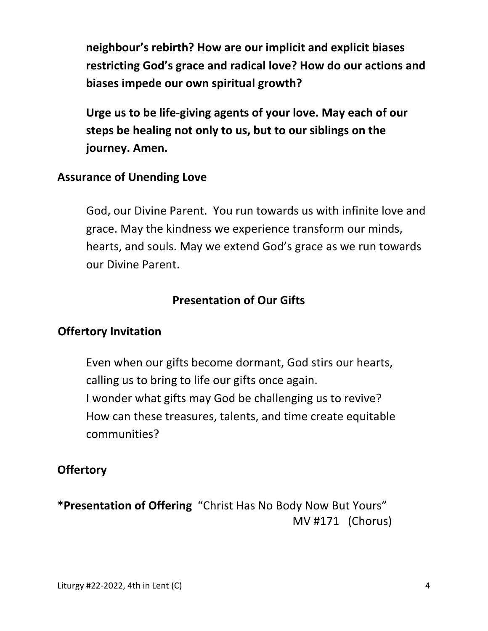**neighbour's rebirth? How are our implicit and explicit biases restricting God's grace and radical love? How do our actions and biases impede our own spiritual growth?** 

 **Urge us to be life-giving agents of your love. May each of our steps be healing not only to us, but to our siblings on the journey. Amen.** 

#### **Assurance of Unending Love**

God, our Divine Parent. You run towards us with infinite love and grace. May the kindness we experience transform our minds, hearts, and souls. May we extend God's grace as we run towards our Divine Parent.

## **Presentation of Our Gifts**

#### **Offertory Invitation**

 Even when our gifts become dormant, God stirs our hearts, calling us to bring to life our gifts once again. I wonder what gifts may God be challenging us to revive? How can these treasures, talents, and time create equitable communities?

#### **Offertory**

**\*Presentation of Offering** "Christ Has No Body Now But Yours" MV #171 (Chorus)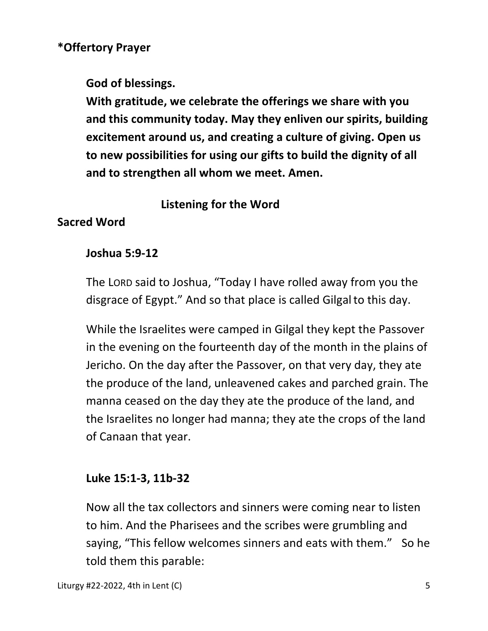## **\*Offertory Prayer**

**God of blessings.** 

 **With gratitude, we celebrate the offerings we share with you and this community today. May they enliven our spirits, building excitement around us, and creating a culture of giving. Open us to new possibilities for using our gifts to build the dignity of all and to strengthen all whom we meet. Amen.** 

## **Listening for the Word**

## **Sacred Word**

## **Joshua 5:9-12**

 The LORD said to Joshua, "Today I have rolled away from you the disgrace of Egypt." And so that place is called Gilgalto this day.

While the Israelites were camped in Gilgal they kept the Passover in the evening on the fourteenth day of the month in the plains of Jericho. On the day after the Passover, on that very day, they ate the produce of the land, unleavened cakes and parched grain. The manna ceased on the day they ate the produce of the land, and the Israelites no longer had manna; they ate the crops of the land of Canaan that year.

## **Luke 15:1-3, 11b-32**

Now all the tax collectors and sinners were coming near to listen to him. And the Pharisees and the scribes were grumbling and saying, "This fellow welcomes sinners and eats with them." So he told them this parable: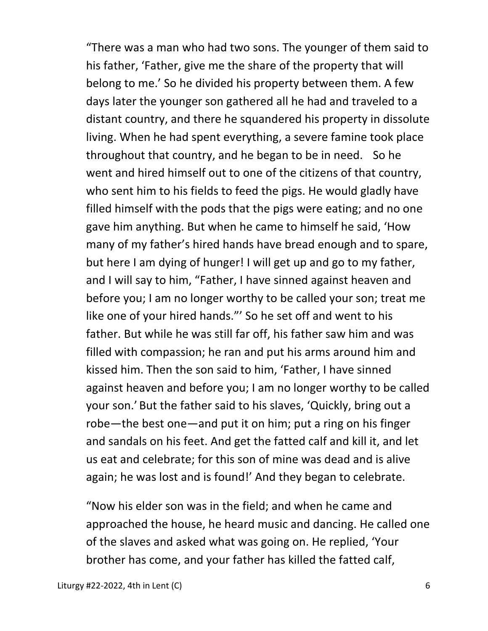"There was a man who had two sons. The younger of them said to his father, 'Father, give me the share of the property that will belong to me.' So he divided his property between them. A few days later the younger son gathered all he had and traveled to a distant country, and there he squandered his property in dissolute living. When he had spent everything, a severe famine took place throughout that country, and he began to be in need. So he went and hired himself out to one of the citizens of that country, who sent him to his fields to feed the pigs. He would gladly have filled himself with the pods that the pigs were eating; and no one gave him anything. But when he came to himself he said, 'How many of my father's hired hands have bread enough and to spare, but here I am dying of hunger! I will get up and go to my father, and I will say to him, "Father, I have sinned against heaven and before you; I am no longer worthy to be called your son; treat me like one of your hired hands."' So he set off and went to his father. But while he was still far off, his father saw him and was filled with compassion; he ran and put his arms around him and kissed him. Then the son said to him, 'Father, I have sinned against heaven and before you; I am no longer worthy to be called your son.' But the father said to his slaves, 'Quickly, bring out a robe—the best one—and put it on him; put a ring on his finger and sandals on his feet. And get the fatted calf and kill it, and let us eat and celebrate; for this son of mine was dead and is alive again; he was lost and is found!' And they began to celebrate.

"Now his elder son was in the field; and when he came and approached the house, he heard music and dancing. He called one of the slaves and asked what was going on. He replied, 'Your brother has come, and your father has killed the fatted calf,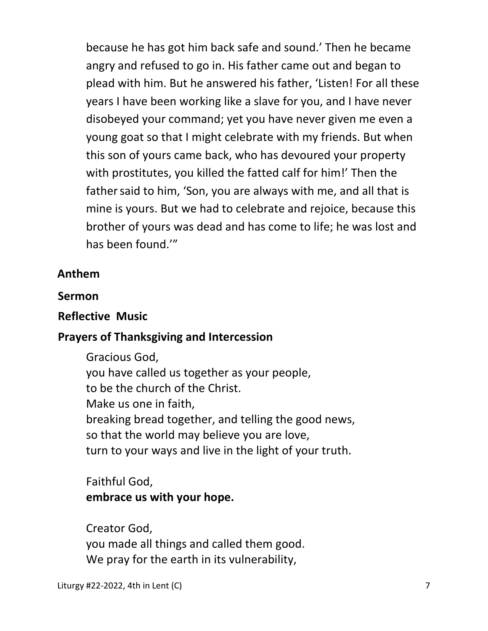because he has got him back safe and sound.' Then he became angry and refused to go in. His father came out and began to plead with him. But he answered his father, 'Listen! For all these years I have been working like a slave for you, and I have never disobeyed your command; yet you have never given me even a young goat so that I might celebrate with my friends. But when this son of yours came back, who has devoured your property with prostitutes, you killed the fatted calf for him!' Then the father said to him, 'Son, you are always with me, and all that is mine is yours. But we had to celebrate and rejoice, because this brother of yours was dead and has come to life; he was lost and has been found.'"

#### **Anthem**

#### **Sermon**

#### **Reflective Music**

#### **Prayers of Thanksgiving and Intercession**

 Gracious God, you have called us together as your people, to be the church of the Christ. Make us one in faith, breaking bread together, and telling the good news, so that the world may believe you are love, turn to your ways and live in the light of your truth.

## Faithful God, **embrace us with your hope.**

 Creator God, you made all things and called them good. We pray for the earth in its vulnerability,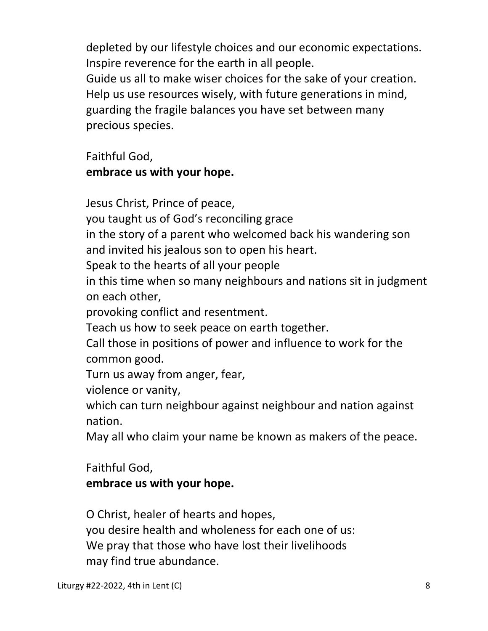depleted by our lifestyle choices and our economic expectations. Inspire reverence for the earth in all people.

 Guide us all to make wiser choices for the sake of your creation. Help us use resources wisely, with future generations in mind, guarding the fragile balances you have set between many precious species.

 Faithful God,  **embrace us with your hope.** 

 Jesus Christ, Prince of peace, you taught us of God's reconciling grace in the story of a parent who welcomed back his wandering son and invited his jealous son to open his heart. Speak to the hearts of all your people in this time when so many neighbours and nations sit in judgment on each other, provoking conflict and resentment. Teach us how to seek peace on earth together. Call those in positions of power and influence to work for the common good. Turn us away from anger, fear, violence or vanity, which can turn neighbour against neighbour and nation against nation. May all who claim your name be known as makers of the peace. Faithful God,

# **embrace us with your hope.**

 O Christ, healer of hearts and hopes, you desire health and wholeness for each one of us: We pray that those who have lost their livelihoods may find true abundance.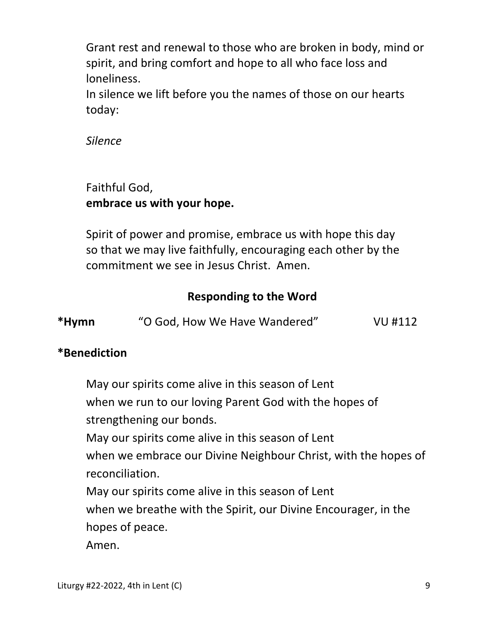Grant rest and renewal to those who are broken in body, mind or spirit, and bring comfort and hope to all who face loss and loneliness.

 In silence we lift before you the names of those on our hearts today:

*Silence* 

# Faithful God,  **embrace us with your hope.**

 Spirit of power and promise, embrace us with hope this day so that we may live faithfully, encouraging each other by the commitment we see in Jesus Christ. Amen.

# **Responding to the Word**

| *Hymn | "O God, How We Have Wandered" | VU #112 |
|-------|-------------------------------|---------|
|       |                               |         |

## **\*Benediction**

 May our spirits come alive in this season of Lent when we run to our loving Parent God with the hopes of strengthening our bonds. May our spirits come alive in this season of Lent when we embrace our Divine Neighbour Christ, with the hopes of reconciliation. May our spirits come alive in this season of Lent when we breathe with the Spirit, our Divine Encourager, in the hopes of peace.

Amen.